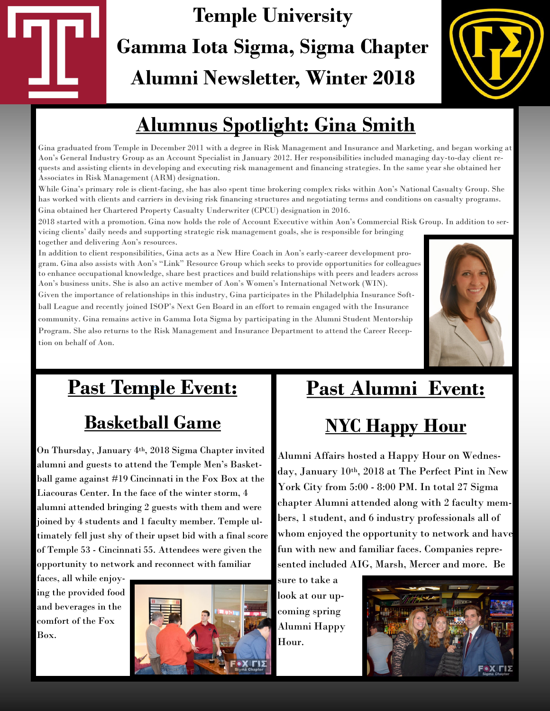# **Temple University Gamma Iota Sigma, Sigma Chapter Alumni Newsletter, Winter 2018**



# **Alumnus Spotlight: Gina Smith**

Gina graduated from Temple in December 2011 with a degree in Risk Management and Insurance and Marketing, and began working at Aon's General Industry Group as an Account Specialist in January 2012. Her responsibilities included managing day-to-day client requests and assisting clients in developing and executing risk management and financing strategies. In the same year she obtained her Associates in Risk Management (ARM) designation.

While Gina's primary role is client-facing, she has also spent time brokering complex risks within Aon's National Casualty Group. She has worked with clients and carriers in devising risk financing structures and negotiating terms and conditions on casualty programs. Gina obtained her Chartered Property Casualty Underwriter (CPCU) designation in 2016.

2018 started with a promotion. Gina now holds the role of Account Executive within Aon's Commercial Risk Group. In addition to servicing clients' daily needs and supporting strategic risk management goals, she is responsible for bringing together and delivering Aon's resources.

In addition to client responsibilities, Gina acts as a New Hire Coach in Aon's early-career development program. Gina also assists with Aon's "Link" Resource Group which seeks to provide opportunities for colleagues to enhance occupational knowledge, share best practices and build relationships with peers and leaders across Aon's business units. She is also an active member of Aon's Women's International Network (WIN).

Given the importance of relationships in this industry, Gina participates in the Philadelphia Insurance Softball League and recently joined ISOP's Next Gen Board in an effort to remain engaged with the Insurance community. Gina remains active in Gamma Iota Sigma by participating in the Alumni Student Mentorship Program. She also returns to the Risk Management and Insurance Department to attend the Career Reception on behalf of Aon.



# **Past Temple Event:** *<sup>=</sup>*

### **Basketball Game**

On Thursday, January 4th, 2018 Sigma Chapter invited alumni and guests to attend the Temple Men's Basketball game against #19 Cincinnati in the Fox Box at the Liacouras Center. In the face of the winter storm, 4 alumni attended bringing 2 guests with them and were joined by 4 students and 1 faculty member. Temple ultimately fell just shy of their upset bid with a final score of Temple 53 - Cincinnati 55. Attendees were given the opportunity to network and reconnect with familiar

faces, all while enjoying the provided food and beverages in the comfort of the Fox Box.



# **Past Alumni Event:**

## **NYC Happy Hour**

Alumni Affairs hosted a Happy Hour on Wednesday, January 10th, 2018 at The Perfect Pint in New York City from 5:00 - 8:00 PM. In total 27 Sigma chapter Alumni attended along with 2 faculty members, 1 student, and 6 industry professionals all of whom enjoyed the opportunity to network and have fun with new and familiar faces. Companies represented included AIG, Marsh, Mercer and more. Be

sure to take a look at our upcoming spring Alumni Happy Hour.